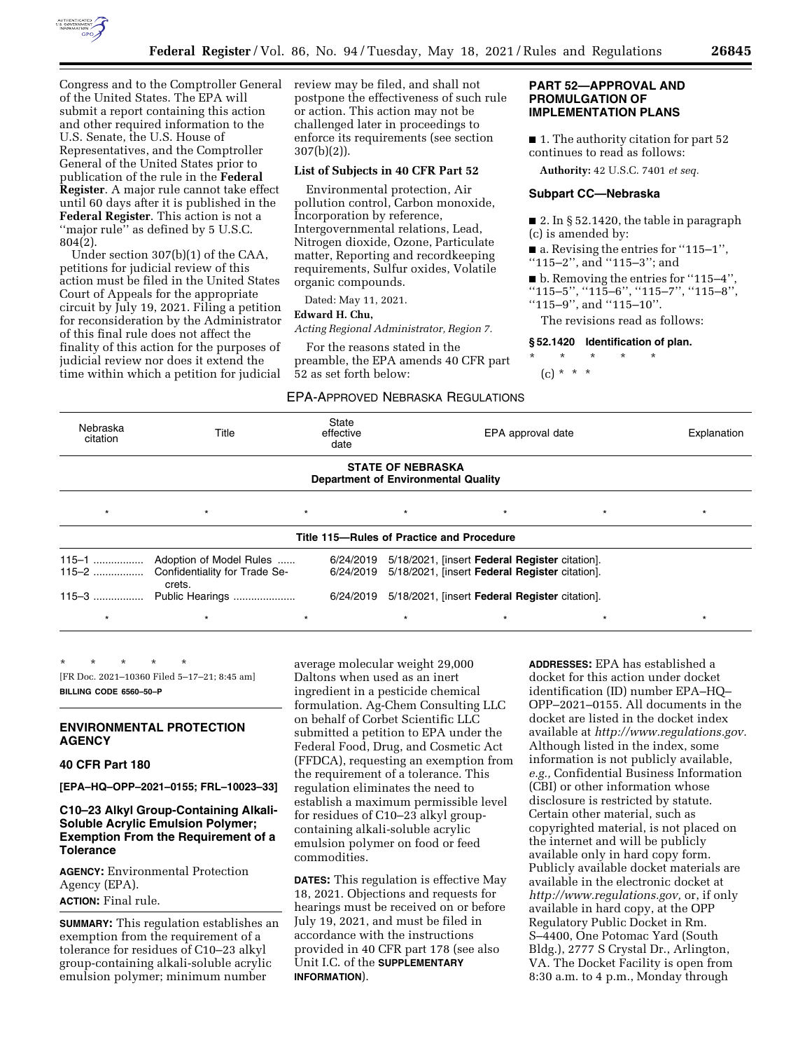

Congress and to the Comptroller General of the United States. The EPA will submit a report containing this action and other required information to the U.S. Senate, the U.S. House of Representatives, and the Comptroller General of the United States prior to publication of the rule in the **Federal Register**. A major rule cannot take effect until 60 days after it is published in the **Federal Register**. This action is not a ''major rule'' as defined by 5 U.S.C. 804(2).

Under section 307(b)(1) of the CAA, petitions for judicial review of this action must be filed in the United States Court of Appeals for the appropriate circuit by July 19, 2021. Filing a petition for reconsideration by the Administrator of this final rule does not affect the finality of this action for the purposes of judicial review nor does it extend the time within which a petition for judicial review may be filed, and shall not postpone the effectiveness of such rule or action. This action may not be challenged later in proceedings to enforce its requirements (see section 307(b)(2)).

### **List of Subjects in 40 CFR Part 52**

Environmental protection, Air pollution control, Carbon monoxide, Incorporation by reference, Intergovernmental relations, Lead, Nitrogen dioxide, Ozone, Particulate matter, Reporting and recordkeeping requirements, Sulfur oxides, Volatile organic compounds.

Dated: May 11, 2021.

#### **Edward H. Chu,**

*Acting Regional Administrator, Region 7.* 

For the reasons stated in the preamble, the EPA amends 40 CFR part 52 as set forth below:

### EPA-APPROVED NEBRASKA REGULATIONS

### **PART 52—APPROVAL AND PROMULGATION OF IMPLEMENTATION PLANS**

■ 1. The authority citation for part 52 continues to read as follows:

**Authority:** 42 U.S.C. 7401 *et seq.* 

# **Subpart CC—Nebraska**

 $\blacksquare$  2. In § 52.1420, the table in paragraph (c) is amended by:

■ a. Revising the entries for "115–1",

''115–2'', and ''115–3''; and

■ b. Removing the entries for "115–4"

''115–5'', ''115–6'', ''115–7'', ''115–8'',

''115–9'', and ''115–10''.

The revisions read as follows:

#### **§ 52.1420 Identification of plan.**

\* \* \* \* \* (c) \* \* \*

| Nebraska<br>citation | Title                                   | State<br>effective<br>date                 |                          | EPA approval date                                                                                |         | Explanation |
|----------------------|-----------------------------------------|--------------------------------------------|--------------------------|--------------------------------------------------------------------------------------------------|---------|-------------|
|                      |                                         | <b>Department of Environmental Quality</b> | <b>STATE OF NEBRASKA</b> |                                                                                                  |         |             |
| $\star$              | $\star$                                 | $\star$                                    | $\star$                  | $\star$                                                                                          | $\star$ | $\star$     |
|                      |                                         | Title 115–Rules of Practice and Procedure  |                          |                                                                                                  |         |             |
| $115 - 2$            | Confidentiality for Trade Se-<br>crets. | 6/24/2019<br>6/24/2019                     |                          | 5/18/2021, [insert Federal Register citation].<br>5/18/2021, [insert Federal Register citation]. |         |             |
| $115 - 3$            | Public Hearings                         | 6/24/2019                                  |                          | 5/18/2021, [insert Federal Register citation].                                                   |         |             |
| $\star$              |                                         | $\star$                                    | $\star$                  | $\star$                                                                                          | $\star$ | $\star$     |

\* \* \* \* \* [FR Doc. 2021–10360 Filed 5–17–21; 8:45 am] **BILLING CODE 6560–50–P** 

## **ENVIRONMENTAL PROTECTION AGENCY**

## **40 CFR Part 180**

**[EPA–HQ–OPP–2021–0155; FRL–10023–33]** 

# **C10–23 Alkyl Group-Containing Alkali-Soluble Acrylic Emulsion Polymer; Exemption From the Requirement of a Tolerance**

**AGENCY:** Environmental Protection Agency (EPA). **ACTION:** Final rule.

**SUMMARY:** This regulation establishes an exemption from the requirement of a tolerance for residues of C10–23 alkyl group-containing alkali-soluble acrylic emulsion polymer; minimum number

average molecular weight 29,000 Daltons when used as an inert ingredient in a pesticide chemical formulation. Ag-Chem Consulting LLC on behalf of Corbet Scientific LLC submitted a petition to EPA under the Federal Food, Drug, and Cosmetic Act (FFDCA), requesting an exemption from the requirement of a tolerance. This regulation eliminates the need to establish a maximum permissible level for residues of C10–23 alkyl groupcontaining alkali-soluble acrylic emulsion polymer on food or feed commodities.

**DATES:** This regulation is effective May 18, 2021. Objections and requests for hearings must be received on or before July 19, 2021, and must be filed in accordance with the instructions provided in 40 CFR part 178 (see also Unit I.C. of the **SUPPLEMENTARY INFORMATION**).

**ADDRESSES:** EPA has established a docket for this action under docket identification (ID) number EPA–HQ– OPP–2021–0155. All documents in the docket are listed in the docket index available at *[http://www.regulations.gov.](http://www.regulations.gov)*  Although listed in the index, some information is not publicly available, *e.g.,* Confidential Business Information (CBI) or other information whose disclosure is restricted by statute. Certain other material, such as copyrighted material, is not placed on the internet and will be publicly available only in hard copy form. Publicly available docket materials are available in the electronic docket at *[http://www.regulations.gov,](http://www.regulations.gov)* or, if only available in hard copy, at the OPP Regulatory Public Docket in Rm. S–4400, One Potomac Yard (South Bldg.), 2777 S Crystal Dr., Arlington, VA. The Docket Facility is open from 8:30 a.m. to 4 p.m., Monday through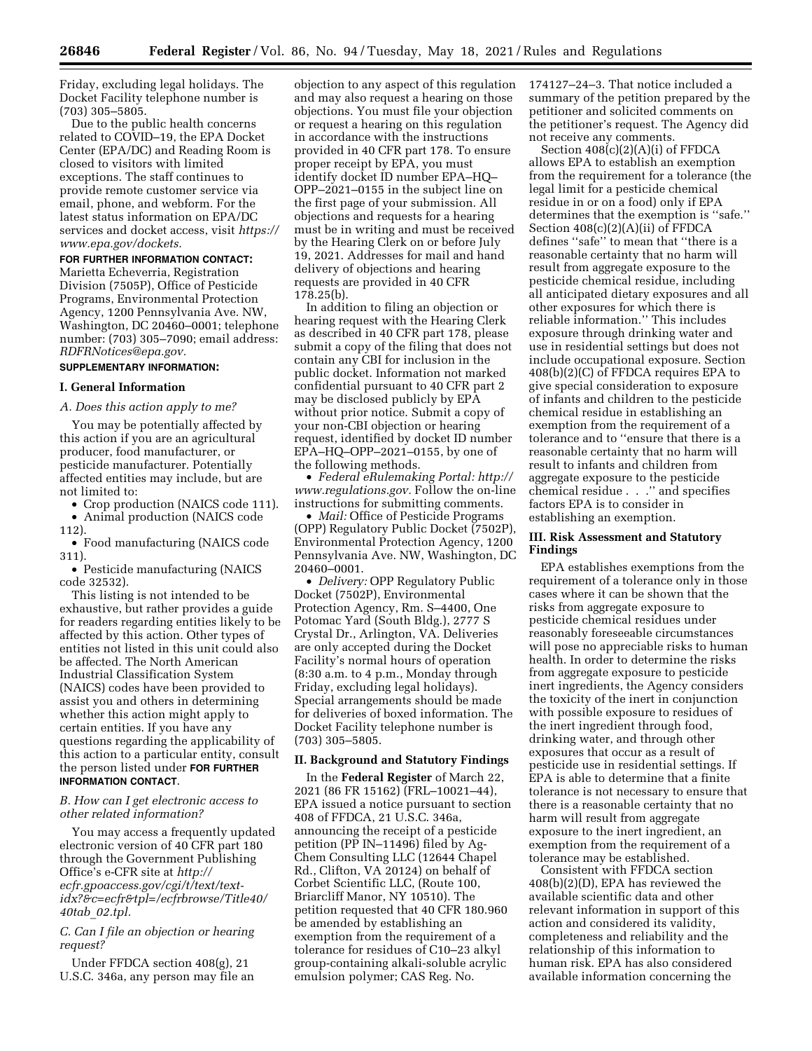Friday, excluding legal holidays. The Docket Facility telephone number is (703) 305–5805.

Due to the public health concerns related to COVID–19, the EPA Docket Center (EPA/DC) and Reading Room is closed to visitors with limited exceptions. The staff continues to provide remote customer service via email, phone, and webform. For the latest status information on EPA/DC services and docket access, visit *[https://](https://www.epa.gov/dockets) [www.epa.gov/dockets.](https://www.epa.gov/dockets)* 

#### **FOR FURTHER INFORMATION CONTACT:**

Marietta Echeverria, Registration Division (7505P), Office of Pesticide Programs, Environmental Protection Agency, 1200 Pennsylvania Ave. NW, Washington, DC 20460–0001; telephone number: (703) 305–7090; email address: *[RDFRNotices@epa.gov.](mailto:RDFRNotices@epa.gov)* 

#### **SUPPLEMENTARY INFORMATION:**

#### **I. General Information**

### *A. Does this action apply to me?*

You may be potentially affected by this action if you are an agricultural producer, food manufacturer, or pesticide manufacturer. Potentially affected entities may include, but are not limited to:

• Crop production (NAICS code 111). • Animal production (NAICS code

112).

• Food manufacturing (NAICS code 311).

• Pesticide manufacturing (NAICS code 32532).

This listing is not intended to be exhaustive, but rather provides a guide for readers regarding entities likely to be affected by this action. Other types of entities not listed in this unit could also be affected. The North American Industrial Classification System (NAICS) codes have been provided to assist you and others in determining whether this action might apply to certain entities. If you have any questions regarding the applicability of this action to a particular entity, consult the person listed under **FOR FURTHER INFORMATION CONTACT**.

### *B. How can I get electronic access to other related information?*

You may access a frequently updated electronic version of 40 CFR part 180 through the Government Publishing Office's e-CFR site at *[http://](http://ecfr.gpoaccess.gov/cgi/t/text/text-idx?&c=ecfr&tpl=/ecfrbrowse/Title40/40tab_02.tpl) [ecfr.gpoaccess.gov/cgi/t/text/text](http://ecfr.gpoaccess.gov/cgi/t/text/text-idx?&c=ecfr&tpl=/ecfrbrowse/Title40/40tab_02.tpl)[idx?&c=ecfr&tpl=/ecfrbrowse/Title40/](http://ecfr.gpoaccess.gov/cgi/t/text/text-idx?&c=ecfr&tpl=/ecfrbrowse/Title40/40tab_02.tpl)  40tab*\_*[02.tpl.](http://ecfr.gpoaccess.gov/cgi/t/text/text-idx?&c=ecfr&tpl=/ecfrbrowse/Title40/40tab_02.tpl)* 

## *C. Can I file an objection or hearing request?*

Under FFDCA section 408(g), 21 U.S.C. 346a, any person may file an

objection to any aspect of this regulation and may also request a hearing on those objections. You must file your objection or request a hearing on this regulation in accordance with the instructions provided in 40 CFR part 178. To ensure proper receipt by EPA, you must identify docket ID number EPA–HQ– OPP–2021–0155 in the subject line on the first page of your submission. All objections and requests for a hearing must be in writing and must be received by the Hearing Clerk on or before July 19, 2021. Addresses for mail and hand delivery of objections and hearing requests are provided in 40 CFR 178.25(b).

In addition to filing an objection or hearing request with the Hearing Clerk as described in 40 CFR part 178, please submit a copy of the filing that does not contain any CBI for inclusion in the public docket. Information not marked confidential pursuant to 40 CFR part 2 may be disclosed publicly by EPA without prior notice. Submit a copy of your non-CBI objection or hearing request, identified by docket ID number EPA–HQ–OPP–2021–0155, by one of the following methods.

• *Federal eRulemaking Portal: [http://](http://www.regulations.gov)  [www.regulations.gov.](http://www.regulations.gov)* Follow the on-line instructions for submitting comments.

• *Mail:* Office of Pesticide Programs (OPP) Regulatory Public Docket (7502P), Environmental Protection Agency, 1200 Pennsylvania Ave. NW, Washington, DC 20460–0001.

• *Delivery:* OPP Regulatory Public Docket (7502P), Environmental Protection Agency, Rm. S–4400, One Potomac Yard (South Bldg.), 2777 S Crystal Dr., Arlington, VA. Deliveries are only accepted during the Docket Facility's normal hours of operation (8:30 a.m. to 4 p.m., Monday through Friday, excluding legal holidays). Special arrangements should be made for deliveries of boxed information. The Docket Facility telephone number is (703) 305–5805.

#### **II. Background and Statutory Findings**

In the **Federal Register** of March 22, 2021 (86 FR 15162) (FRL–10021–44), EPA issued a notice pursuant to section 408 of FFDCA, 21 U.S.C. 346a, announcing the receipt of a pesticide petition (PP IN–11496) filed by Ag-Chem Consulting LLC (12644 Chapel Rd., Clifton, VA 20124) on behalf of Corbet Scientific LLC, (Route 100, Briarcliff Manor, NY 10510). The petition requested that 40 CFR 180.960 be amended by establishing an exemption from the requirement of a tolerance for residues of C10–23 alkyl group-containing alkali-soluble acrylic emulsion polymer; CAS Reg. No.

174127–24–3. That notice included a summary of the petition prepared by the petitioner and solicited comments on the petitioner's request. The Agency did not receive any comments.

Section 408(c)(2)(A)(i) of FFDCA allows EPA to establish an exemption from the requirement for a tolerance (the legal limit for a pesticide chemical residue in or on a food) only if EPA determines that the exemption is ''safe.'' Section 408(c)(2)(A)(ii) of FFDCA defines ''safe'' to mean that ''there is a reasonable certainty that no harm will result from aggregate exposure to the pesticide chemical residue, including all anticipated dietary exposures and all other exposures for which there is reliable information.'' This includes exposure through drinking water and use in residential settings but does not include occupational exposure. Section 408(b)(2)(C) of FFDCA requires EPA to give special consideration to exposure of infants and children to the pesticide chemical residue in establishing an exemption from the requirement of a tolerance and to ''ensure that there is a reasonable certainty that no harm will result to infants and children from aggregate exposure to the pesticide chemical residue . . .'' and specifies factors EPA is to consider in establishing an exemption.

### **III. Risk Assessment and Statutory Findings**

EPA establishes exemptions from the requirement of a tolerance only in those cases where it can be shown that the risks from aggregate exposure to pesticide chemical residues under reasonably foreseeable circumstances will pose no appreciable risks to human health. In order to determine the risks from aggregate exposure to pesticide inert ingredients, the Agency considers the toxicity of the inert in conjunction with possible exposure to residues of the inert ingredient through food, drinking water, and through other exposures that occur as a result of pesticide use in residential settings. If EPA is able to determine that a finite tolerance is not necessary to ensure that there is a reasonable certainty that no harm will result from aggregate exposure to the inert ingredient, an exemption from the requirement of a tolerance may be established.

Consistent with FFDCA section 408(b)(2)(D), EPA has reviewed the available scientific data and other relevant information in support of this action and considered its validity, completeness and reliability and the relationship of this information to human risk. EPA has also considered available information concerning the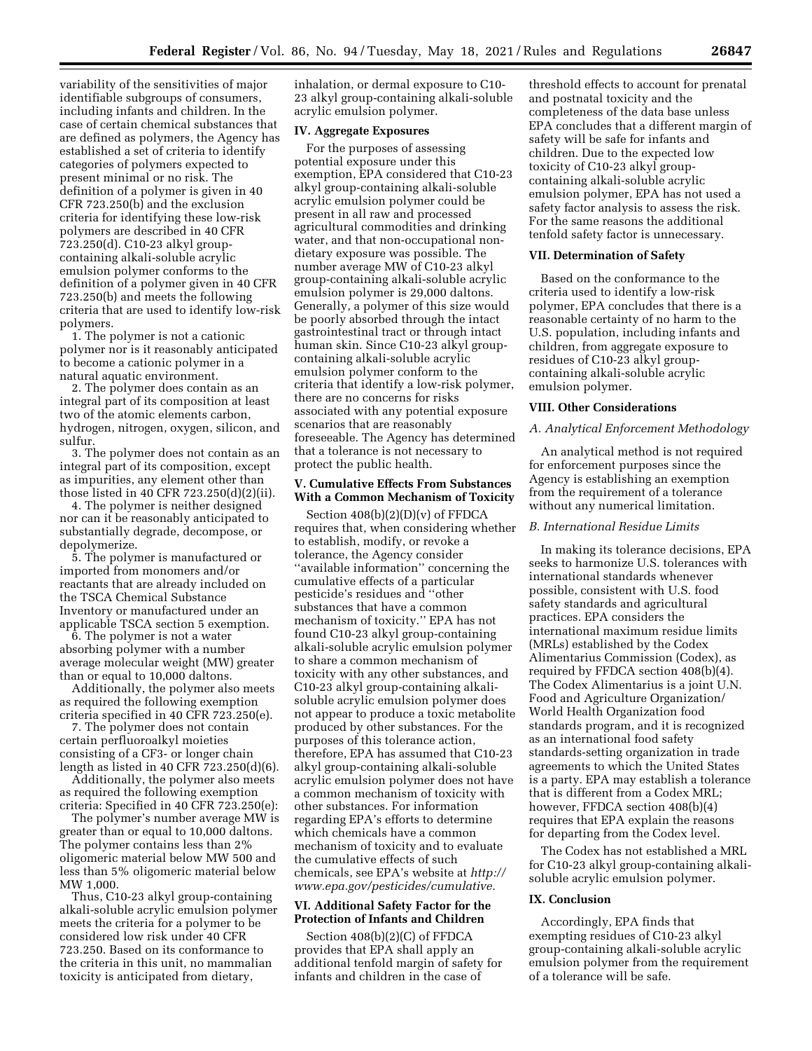variability of the sensitivities of major identifiable subgroups of consumers, including infants and children. In the case of certain chemical substances that are defined as polymers, the Agency has established a set of criteria to identify categories of polymers expected to present minimal or no risk. The definition of a polymer is given in 40 CFR 723.250(b) and the exclusion criteria for identifying these low-risk polymers are described in 40 CFR 723.250(d). C10-23 alkyl groupcontaining alkali-soluble acrylic emulsion polymer conforms to the definition of a polymer given in 40 CFR 723.250(b) and meets the following criteria that are used to identify low-risk polymers.

1. The polymer is not a cationic polymer nor is it reasonably anticipated to become a cationic polymer in a natural aquatic environment.

2. The polymer does contain as an integral part of its composition at least two of the atomic elements carbon, hydrogen, nitrogen, oxygen, silicon, and sulfur.

3. The polymer does not contain as an integral part of its composition, except as impurities, any element other than those listed in 40 CFR 723.250(d)(2)(ii).

4. The polymer is neither designed nor can it be reasonably anticipated to substantially degrade, decompose, or depolymerize.

5. The polymer is manufactured or imported from monomers and/or reactants that are already included on the TSCA Chemical Substance Inventory or manufactured under an applicable TSCA section 5 exemption.

6. The polymer is not a water absorbing polymer with a number average molecular weight (MW) greater than or equal to 10,000 daltons.

Additionally, the polymer also meets as required the following exemption criteria specified in 40 CFR 723.250(e).

7. The polymer does not contain certain perfluoroalkyl moieties consisting of a CF3- or longer chain length as listed in 40 CFR 723.250(d)(6).

Additionally, the polymer also meets as required the following exemption criteria: Specified in 40 CFR 723.250(e):

The polymer's number average MW is greater than or equal to 10,000 daltons. The polymer contains less than 2% oligomeric material below MW 500 and less than 5% oligomeric material below MW 1,000.

Thus, C10-23 alkyl group-containing alkali-soluble acrylic emulsion polymer meets the criteria for a polymer to be considered low risk under 40 CFR 723.250. Based on its conformance to the criteria in this unit, no mammalian toxicity is anticipated from dietary,

inhalation, or dermal exposure to C10- 23 alkyl group-containing alkali-soluble acrylic emulsion polymer.

#### **IV. Aggregate Exposures**

For the purposes of assessing potential exposure under this exemption, EPA considered that C10-23 alkyl group-containing alkali-soluble acrylic emulsion polymer could be present in all raw and processed agricultural commodities and drinking water, and that non-occupational nondietary exposure was possible. The number average MW of C10-23 alkyl group-containing alkali-soluble acrylic emulsion polymer is 29,000 daltons. Generally, a polymer of this size would be poorly absorbed through the intact gastrointestinal tract or through intact human skin. Since C10-23 alkyl groupcontaining alkali-soluble acrylic emulsion polymer conform to the criteria that identify a low-risk polymer, there are no concerns for risks associated with any potential exposure scenarios that are reasonably foreseeable. The Agency has determined that a tolerance is not necessary to protect the public health.

## **V. Cumulative Effects From Substances With a Common Mechanism of Toxicity**

Section  $408(b)(2)(D)(v)$  of FFDCA requires that, when considering whether to establish, modify, or revoke a tolerance, the Agency consider ''available information'' concerning the cumulative effects of a particular pesticide's residues and ''other substances that have a common mechanism of toxicity.'' EPA has not found C10-23 alkyl group-containing alkali-soluble acrylic emulsion polymer to share a common mechanism of toxicity with any other substances, and C10-23 alkyl group-containing alkalisoluble acrylic emulsion polymer does not appear to produce a toxic metabolite produced by other substances. For the purposes of this tolerance action, therefore, EPA has assumed that C10-23 alkyl group-containing alkali-soluble acrylic emulsion polymer does not have a common mechanism of toxicity with other substances. For information regarding EPA's efforts to determine which chemicals have a common mechanism of toxicity and to evaluate the cumulative effects of such chemicals, see EPA's website at *[http://](http://www.epa.gov/pesticides/cumulative) [www.epa.gov/pesticides/cumulative.](http://www.epa.gov/pesticides/cumulative)* 

## **VI. Additional Safety Factor for the Protection of Infants and Children**

Section 408(b)(2)(C) of FFDCA provides that EPA shall apply an additional tenfold margin of safety for infants and children in the case of

threshold effects to account for prenatal and postnatal toxicity and the completeness of the data base unless EPA concludes that a different margin of safety will be safe for infants and children. Due to the expected low toxicity of C10-23 alkyl groupcontaining alkali-soluble acrylic emulsion polymer, EPA has not used a safety factor analysis to assess the risk. For the same reasons the additional tenfold safety factor is unnecessary.

### **VII. Determination of Safety**

Based on the conformance to the criteria used to identify a low-risk polymer, EPA concludes that there is a reasonable certainty of no harm to the U.S. population, including infants and children, from aggregate exposure to residues of C10-23 alkyl groupcontaining alkali-soluble acrylic emulsion polymer.

#### **VIII. Other Considerations**

#### *A. Analytical Enforcement Methodology*

An analytical method is not required for enforcement purposes since the Agency is establishing an exemption from the requirement of a tolerance without any numerical limitation.

### *B. International Residue Limits*

In making its tolerance decisions, EPA seeks to harmonize U.S. tolerances with international standards whenever possible, consistent with U.S. food safety standards and agricultural practices. EPA considers the international maximum residue limits (MRLs) established by the Codex Alimentarius Commission (Codex), as required by FFDCA section 408(b)(4). The Codex Alimentarius is a joint U.N. Food and Agriculture Organization/ World Health Organization food standards program, and it is recognized as an international food safety standards-setting organization in trade agreements to which the United States is a party. EPA may establish a tolerance that is different from a Codex MRL; however, FFDCA section 408(b)(4) requires that EPA explain the reasons for departing from the Codex level.

The Codex has not established a MRL for C10-23 alkyl group-containing alkalisoluble acrylic emulsion polymer.

### **IX. Conclusion**

Accordingly, EPA finds that exempting residues of C10-23 alkyl group-containing alkali-soluble acrylic emulsion polymer from the requirement of a tolerance will be safe.